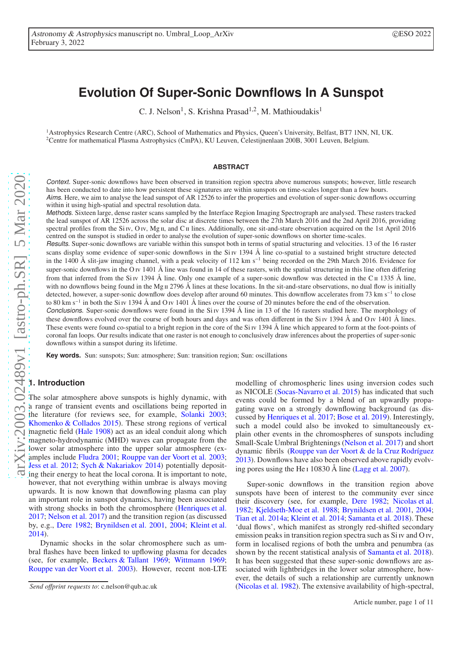# **Evolution Of Super-Sonic Downflows In A Sunspot**

C. J. Nelson<sup>1</sup>, S. Krishna Prasad<sup>1,2</sup>, M. Mathioudakis<sup>1</sup>

<sup>1</sup>Astrophysics Research Centre (ARC), School of Mathematics and Physics, Queen's University, Belfast, BT7 1NN, NI, UK. <sup>2</sup>Centre for mathematical Plasma Astrophysics (CmPA), KU Leuven, Celestijnenlaan 200B, 3001 Leuven, Belgium.

#### **ABSTRACT**

Context. Super-sonic downflows have been observed in transition region spectra above numerous sunspots; however, little research has been conducted to date into how persistent these signatures are within sunspots on time-scales longer than a few hours. Aims. Here, we aim to analyse the lead sunspot of AR 12526 to infer the properties and evolution of super-sonic downflows occurring within it using high-spatial and spectral resolution data.

Methods. Sixteen large, dense raster scans sampled by the Interface Region Imaging Spectrograph are analysed. These rasters tracked the lead sunspot of AR 12526 across the solar disc at discrete times between the 27th March 2016 and the 2nd April 2016, providing spectral profiles from the Si Iv, O Iv, Mg II, and C II lines. Additionally, one sit-and-stare observation acquired on the 1st April 2016 centred on the sunspot is studied in order to analyse the evolution of super-sonic downflows on shorter time-scales.

Results. Super-sonic downflows are variable within this sunspot both in terms of spatial structuring and velocities. 13 of the 16 raster scans display some evidence of super-sonic downflows in the Si iv 1394 Å line co-spatial to a sustained bright structure detected in the 1400 Å slit-jaw imaging channel, with a peak velocity of 112 km s<sup>−1</sup> being recorded on the 29th March 2016. Evidence for super-sonic downflows in the O iv 1401 Å line was found in 14 of these rasters, with the spatial structuring in this line often differing from that inferred from the Si v 1394 Å line. Only one example of a super-sonic downflow was detected in the C  $\pi$  1335 Å line, with no downflows being found in the Mg  $\pi$  2796 Å lines at these locations. In the sit-and-stare observations, no dual flow is initially detected, however, a super-sonic downflow does develop after around 60 minutes. This downflow accelerates from 73 km s<sup>−</sup><sup>1</sup> to close to 80 km s<sup>−</sup><sup>1</sup> to 80 km s<sup>-1</sup> in both the Si Iv 1394 Å and O Iv 1401 Å lines over the course of 20 minutes before the end of the observation.

Conclusions. Super-sonic downflows were found in the Si v 1394 Å line in 13 of the 16 rasters studied here. The morphology of these downflows evolved over the course of both hours and days and was often different in the Si  $\rm{iv}$  1394 Å and O  $\rm{iv}$  1401 Å lines. These events were found co-spatial to a bright region in the core of the Si Iv 1394 Å line which appeared to form at the foot-points of coronal fan loops. Our results indicate that one raster is not enough to conclusively draw inferences about the properties of super-sonic downflows within a sunspot during its lifetime.

**Key words.** Sun: sunspots; Sun: atmosphere; Sun: transition region; Sun: oscillations

#### **1. Introduction**

The solar atmosphere above sunspots is highly dynamic, with a range of transient events and oscillations being reported in the literature (for reviews see, for example, [Solanki 2003](#page-10-0); [Khomenko & Collados 2015\)](#page-10-1). These strong regions of vertical magnetic field [\(Hale 1908\)](#page-10-2) act as an ideal conduit along which magneto-hydrodynamic (MHD) waves can propagate from the lower solar atmosphere into the upper solar atmosphere (examples include [Fludra 2001;](#page-10-3) [Rouppe van der Voort et al. 2003](#page-10-4); [Jess et al. 2012](#page-10-5); [Sych & Nakariakov 2014\)](#page-10-6) potentially depositing their energy to heat the local corona. It is important to note, however, that not everything within umbrae is always moving upwards. It is now known that downflowing plasma can play an important role in sunspot dynamics, having been associated with strong shocks in both the chromosphere [\(Henriques et al.](#page-10-7) [2017;](#page-10-7) [Nelson et al. 2017\)](#page-10-8) and the transition region (as discussed by, e.g., [Dere 1982;](#page-10-9) [Brynildsen et al. 2001,](#page-10-10) [2004;](#page-10-11) [Kleint et al.](#page-10-12) [2014\)](#page-10-12).

Dynamic shocks in the solar chromosphere such as umbral flashes have been linked to upflowing plasma for decades (see, for example, [Beckers & Tallant 1969;](#page-10-13) [Wittmann 1969](#page-10-14); [Rouppe van der Voort et al. 2003\)](#page-10-4). However, recent non-LTE

modelling of chromospheric lines using inversion codes such as NICOLE [\(Socas-Navarro et al. 2015\)](#page-10-15) has indicated that such events could be formed by a blend of an upwardly propagating wave on a strongly downflowing background (as discussed by [Henriques et al. 2017](#page-10-7); [Bose et al. 2019](#page-10-16)). Interestingly, such a model could also be invoked to simultaneously explain other events in the chromospheres of sunspots including Small-Scale Umbral Brightenings [\(Nelson et al. 2017](#page-10-8)) and short dynamic fibrils [\(Rouppe van der Voort & de la Cruz Rodríguez](#page-10-17) [2013\)](#page-10-17). Downflows have also been observed above rapidly evolving pores using the He i 10830 Å line [\(Lagg et al. 2007](#page-10-18)).

Super-sonic downflows in the transition region above sunspots have been of interest to the community ever since their discovery (see, for example, [Dere 1982](#page-10-9); [Nicolas et al.](#page-10-19) [1982;](#page-10-19) [Kjeldseth-Moe et al. 1988;](#page-10-20) [Brynildsen et al. 2001,](#page-10-10) [2004;](#page-10-11) [Tian et al. 2014a;](#page-10-21) [Kleint et al. 2014;](#page-10-12) [Samanta et al. 2018\)](#page-10-22). These 'dual flows', which manifest as strongly red-shifted secondary emission peaks in transition region spectra such as Si iv and O iv, form in localised regions of both the umbra and penumbra (as shown by the recent statistical analysis of [Samanta et al. 2018\)](#page-10-22). It has been suggested that these super-sonic downflows are associated with lightbridges in the lower solar atmosphere, however, the details of such a relationship are currently unknown [\(Nicolas et al. 1982](#page-10-19)). The extensive availability of high-spectral,

*Send o*ff*print requests to*: c.nelson@qub.ac.uk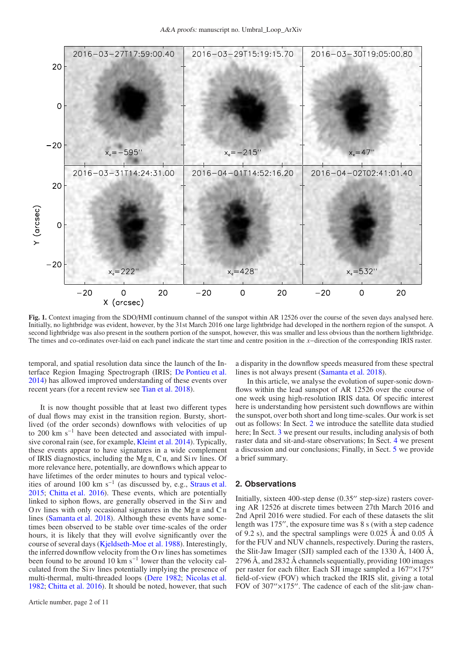

<span id="page-1-1"></span>Fig. 1. Context imaging from the SDO/HMI continuum channel of the sunspot within AR 12526 over the course of the seven days analysed here. Initially, no lightbridge was evident, however, by the 31st March 2016 one large lightbridge had developed in the northern region of the sunspot. A second lightbridge was also present in the southern portion of the sunspot, however, this was smaller and less obvious than the northern lightbridge. The times and co-ordinates over-laid on each panel indicate the start time and centre position in the *x*−direction of the corresponding IRIS raster.

temporal, and spatial resolution data since the launch of the Interface Region Imaging Spectrograph (IRIS; [De Pontieu et al.](#page-10-23) [2014\)](#page-10-23) has allowed improved understanding of these events over recent years (for a recent review see [Tian et al. 2018\)](#page-10-24).

It is now thought possible that at least two different types of dual flows may exist in the transition region. Bursty, shortlived (of the order seconds) downflows with velocities of up to 200 km s−<sup>1</sup> have been detected and associated with impulsive coronal rain (see, for example, [Kleint et al. 2014\)](#page-10-12). Typically, these events appear to have signatures in a wide complement of IRIS diagnostics, including the Mg  $\pi$ , C $\pi$ , and Si  $\pi$  lines. Of more relevance here, potentially, are downflows which appear to have lifetimes of the order minutes to hours and typical veloc-ities of around 100 km s<sup>-1</sup> (as discussed by, e.g., [Straus et al.](#page-10-25) [2015;](#page-10-25) [Chitta et al. 2016\)](#page-10-26). These events, which are potentially linked to siphon flows, are generally observed in the Si iv and O<sub>IV</sub> lines with only occasional signatures in the Mg<sub>II</sub> and  $C<sub>II</sub>$ lines [\(Samanta et al. 2018](#page-10-22)). Although these events have sometimes been observed to be stable over time-scales of the order hours, it is likely that they will evolve significantly over the course of several days [\(Kjeldseth-Moe et al. 1988\)](#page-10-20). Interestingly, the inferred downflow velocity from the O iv lines has sometimes been found to be around 10  $km s^{-1}$  lower than the velocity calculated from the Si iv lines potentially implying the presence of multi-thermal, multi-threaded loops [\(Dere 1982;](#page-10-9) [Nicolas et al.](#page-10-19) [1982;](#page-10-19) [Chitta et al. 2016](#page-10-26)). It should be noted, however, that such a disparity in the downflow speeds measured from these spectral lines is not always present [\(Samanta et al. 2018](#page-10-22)).

In this article, we analyse the evolution of super-sonic downflows within the lead sunspot of AR 12526 over the course of one week using high-resolution IRIS data. Of specific interest here is understanding how persistent such downflows are within the sunspot, over both short and long time-scales. Our work is set out as follows: In Sect. [2](#page-1-0) we introduce the satellite data studied here; In Sect. [3](#page-2-0) we present our results, including analysis of both raster data and sit-and-stare observations; In Sect. [4](#page-8-0) we present a discussion and our conclusions; Finally, in Sect. [5](#page-9-0) we provide a brief summary.

## <span id="page-1-0"></span>**2. Observations**

Initially, sixteen 400-step dense (0.35′′ step-size) rasters covering AR 12526 at discrete times between 27th March 2016 and 2nd April 2016 were studied. For each of these datasets the slit length was 175′′, the exposure time was 8 s (with a step cadence of 9.2 s), and the spectral samplings were 0.025 Å and 0.05 Å for the FUV and NUV channels, respectively. During the rasters, the Slit-Jaw Imager (SJI) sampled each of the 1330 Å, 1400 Å, 2796 Å, and 2832 Å channels sequentially, providing 100 images per raster for each filter. Each SJI image sampled a 167′′×175′′ field-of-view (FOV) which tracked the IRIS slit, giving a total FOV of  $307'' \times 175''$ . The cadence of each of the slit-jaw chan-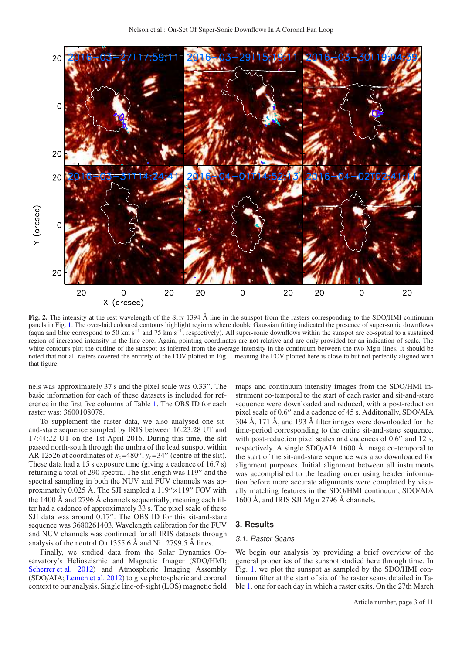

<span id="page-2-1"></span>Fig. 2. The intensity at the rest wavelength of the Si iv 1394 Å line in the sunspot from the rasters corresponding to the SDO/HMI continuum panels in Fig. [1.](#page-1-1) The over-laid coloured contours highlight regions where double Gaussian fitting indicated the presence of super-sonic downflows (aqua and blue correspond to 50 km s<sup>-1</sup> and 75 km s<sup>-1</sup>, respectively). All super-sonic downflows within the sunspot are co-spatial to a sustained region of increased intensity in the line core. Again, pointing coordinates are not relative and are only provided for an indication of scale. The white contours plot the outline of the sunspot as inferred from the average intensity in the continuum between the two Mg II lines. It should be noted that not all rasters covered the entirety of the FOV plotted in Fig. [1](#page-1-1) meaning the FOV plotted here is close to but not perfectly aligned with that figure.

nels was approximately 37 s and the pixel scale was 0.33′′. The basic information for each of these datasets is included for reference in the first five columns of Table [1.](#page-4-0) The OBS ID for each raster was: 3600108078.

To supplement the raster data, we also analysed one sitand-stare sequence sampled by IRIS between 16:23:28 UT and 17:44:22 UT on the 1st April 2016. During this time, the slit passed north-south through the umbra of the lead sunspot within AR 12526 at coordinates of  $x_c$ =480'',  $y_c$ =34'' (centre of the slit). These data had a 15 s exposure time (giving a cadence of 16.7 s) returning a total of 290 spectra. The slit length was 119′′ and the spectral sampling in both the NUV and FUV channels was approximately 0.025 Å. The SJI sampled a  $119'' \times 119''$  FOV with the 1400 Å and 2796 Å channels sequentially, meaning each filter had a cadence of approximately 33 s. The pixel scale of these SJI data was around 0.17". The OBS ID for this sit-and-stare sequence was 3680261403. Wavelength calibration for the FUV and NUV channels was confirmed for all IRIS datasets through analysis of the neutral O<sub>I</sub> 1355.6 Å and Ni<sub>I</sub> 2799.5 Å lines.

Finally, we studied data from the Solar Dynamics Observatory's Helioseismic and Magnetic Imager (SDO/HMI; [Scherrer et al. 2012\)](#page-10-27) and Atmospheric Imaging Assembly (SDO/AIA; [Lemen et al. 2012](#page-10-28)) to give photospheric and coronal context to our analysis. Single line-of-sight (LOS) magnetic field maps and continuum intensity images from the SDO/HMI instrument co-temporal to the start of each raster and sit-and-stare sequence were downloaded and reduced, with a post-reduction pixel scale of 0.6 ′′ and a cadence of 45 s. Additonally, SDO/AIA 304 Å, 171 Å, and 193 Å filter images were downloaded for the time-period corresponding to the entire sit-and-stare sequence. with post-reduction pixel scales and cadences of 0.6" and 12 s, respectively. A single SDO/AIA 1600 Å image co-temporal to the start of the sit-and-stare sequence was also downloaded for alignment purposes. Initial alignment between all instruments was accomplished to the leading order using header information before more accurate alignments were completed by visually matching features in the SDO/HMI continuum, SDO/AIA 1600 Å, and IRIS SJI Mg ii 2796 Å channels.

### <span id="page-2-0"></span>**3. Results**

#### 3.1. Raster Scans

We begin our analysis by providing a brief overview of the general properties of the sunspot studied here through time. In Fig. [1,](#page-1-1) we plot the sunspot as sampled by the SDO/HMI continuum filter at the start of six of the raster scans detailed in Table [1,](#page-4-0) one for each day in which a raster exits. On the 27th March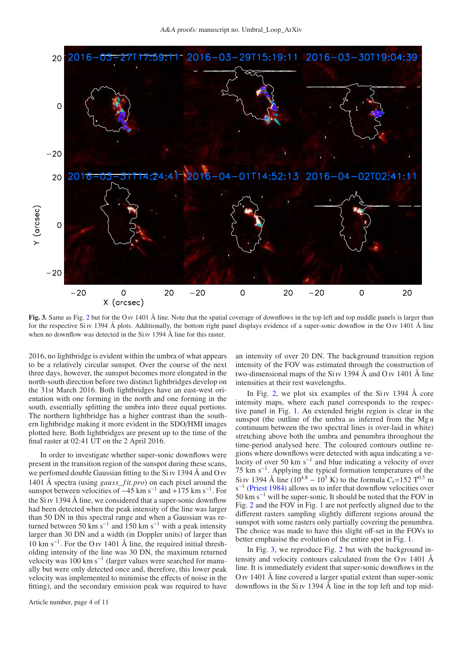

<span id="page-3-0"></span>Fig. 3. Same as Fig. [2](#page-2-1) but for the O iv 1401 Å line. Note that the spatial coverage of downflows in the top left and top middle panels is larger than for the respective Si v 1394 Å plots. Additionally, the bottom right panel displays evidence of a super-sonic downflow in the O iv 1401 Å line when no downflow was detected in the  $Si$  iv 1394 Å line for this raster.

2016, no lightbridge is evident within the umbra of what appears to be a relatively circular sunspot. Over the course of the next three days, however, the sunspot becomes more elongated in the north-south direction before two distinct lightbridges develop on the 31st March 2016. Both lightbridges have an east-west orientation with one forming in the north and one forming in the south, essentially splitting the umbra into three equal portions. The northern lightbridge has a higher contrast than the southern lightbridge making it more evident in the SDO/HMI images plotted here. Both lightbridges are present up to the time of the final raster at 02:41 UT on the 2 April 2016.

In order to investigate whether super-sonic downflows were present in the transition region of the sunspot during these scans, we perfomed double Gaussian fitting to the Si iv 1394 Å and O iv 1401 Å spectra (using *gauss*\_ *f it*.*pro*) on each pixel around the sunspot between velocities of  $-45$  km s<sup>-1</sup> and  $+175$  km s<sup>-1</sup>. For the Si iv 1394 Å line, we considered that a super-sonic downflow had been detected when the peak intensity of the line was larger than 50 DN in this spectral range and when a Gaussian was returned between 50 km s<sup>-1</sup> and 150 km s<sup>-1</sup> with a peak intensity larger than 30 DN and a width (in Doppler units) of larger than 10 km s−<sup>1</sup> . For the O iv 1401 Å line, the required initial thresholding intensity of the line was 30 DN, the maximum returned velocity was 100 km s<sup>-1</sup> (larger values were searched for manually but were only detected once and, therefore, this lower peak velocity was implemented to minimise the effects of noise in the fitting), and the secondary emission peak was required to have an intensity of over 20 DN. The background transition region intensity of the FOV was estimated through the construction of two-dimensional maps of the Si iv 1394 Å and O iv 1401 Å line intensities at their rest wavelengths.

In Fig. [2,](#page-2-1) we plot six examples of the  $Si$  iv 1394 Å core intensity maps, where each panel corresponds to the respective panel in Fig. [1.](#page-1-1) An extended bright region is clear in the sunspot (the outline of the umbra as inferred from the Mg II continuum between the two spectral lines is over-laid in white) stretching above both the umbra and penumbra throughout the time-period analysed here. The coloured contours outline regions where downflows were detected with aqua indicating a velocity of over 50 km s<sup>-1</sup> and blue indicating a velocity of over 75 km s−<sup>1</sup> . Applying the typical formation temperatures of the Si iv 1394 Å line (10<sup>4.8</sup> – 10<sup>5</sup> K) to the formula  $C_s$ =152 T<sup>0.5</sup> m  $s^{-1}$  [\(Priest 1984](#page-10-29)) allows us to infer that downflow velocities over  $50 \text{ km s}^{-1}$  will be super-sonic. It should be noted that the FOV in Fig. [2](#page-2-1) and the FOV in Fig. [1](#page-1-1) are not perfectly aligned due to the different rasters sampling slightly different regions around the sunspot with some rasters only partially covering the penumbra. The choice was made to have this slight off-set in the FOVs to better emphasise the evolution of the entire spot in Fig. [1.](#page-1-1)

In Fig. [3,](#page-3-0) we reproduce Fig. [2](#page-2-1) but with the background intensity and velocity contours calculated from the O<sub>IV</sub> 1401  $\AA$ line. It is immediately evident that super-sonic downflows in the O iv 1401 Å line covered a larger spatial extent than super-sonic downflows in the Si IV 1394  $\AA$  line in the top left and top mid-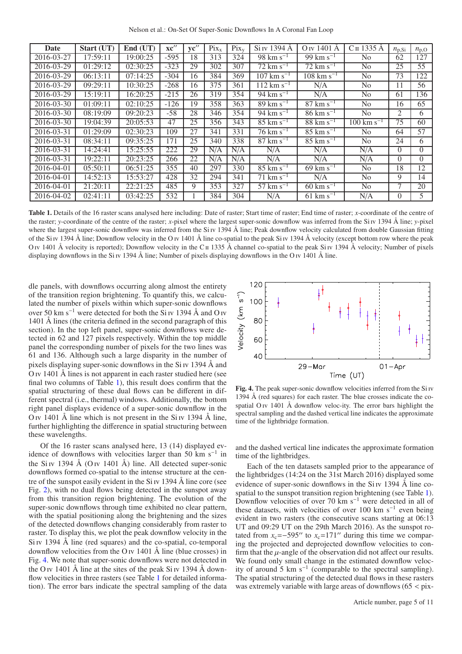Nelson et al.: On-Set Of Super-Sonic Downflows In A Coronal Fan Loop

| Date       | Start (UT)             | End (UT) | $\mathbf{xc}^{\prime\prime}$ | $\mathbf{v} \mathbf{c}$ " | $Pix_{x}$ | $Pix_{v}$ | Si IV 1394 A            | O <sub>IV</sub> 1401 A            | Сп 1335 A               | $n_{\rm p,Si}$ | $n_{\rm p,O}$ |
|------------|------------------------|----------|------------------------------|---------------------------|-----------|-----------|-------------------------|-----------------------------------|-------------------------|----------------|---------------|
| 2016-03-27 | 17:59:11               | 19:00:25 | $-595$                       | 18                        | 313       | 324       | $98 \text{ km s}^{-1}$  | $99 \text{ km s}^{-1}$            | No                      | 62             | 127           |
| 2016-03-29 | 01:29:12               | 02:30:25 | $-323$                       | 29                        | 302       | 307       | $72 \text{ km s}^{-1}$  | $72 \text{ km s}^{-1}$            | N <sub>0</sub>          | 25             | 55            |
| 2016-03-29 | 06:13:11               | 07:14:25 | $-304$                       | 16                        | 384       | 369       | $107 \text{ km s}^{-1}$ | $108 \text{ km s}^{-1}$           | No                      | 73             | 122           |
| 2016-03-29 | 09:29:11               | 10:30:25 | $-268$                       | 16                        | 375       | 361       | $112 \text{ km s}^{-1}$ | N/A                               | No                      | 11             | 56            |
| 2016-03-29 | 15:19:11               | 16:20:25 | $-215$                       | 26                        | 319       | 354       | 94 km s <sup>-1</sup>   | N/A                               | N <sub>0</sub>          | 61             | 136           |
| 2016-03-30 | $\overline{01}$ :09:11 | 02:10:25 | $-126$                       | 19                        | 358       | 363       | $89 \text{ km s}^{-1}$  | $\overline{87 \text{ km s}^{-1}}$ | N <sub>0</sub>          | 16             | 65            |
| 2016-03-30 | 08:19:09               | 09:20:23 | $-58$                        | 28                        | 346       | 354       | $94 \text{ km s}^{-1}$  | $86 \text{ km s}^{-1}$            | No                      | 2              | 6             |
| 2016-03-30 | 19:04:39               | 20:05:53 | 47                           | 25                        | 356       | 343       | $85 \text{ km s}^{-1}$  | $88 \text{ km s}^{-1}$            | $100 \text{ km s}^{-1}$ | 75             | 60            |
| 2016-03-31 | 01:29:09               | 02:30:23 | 109                          | 27                        | 341       | 331       | $76 \rm km s^{-1}$      | $85 \text{ km s}^{-1}$            | No                      | 64             | 57            |
| 2016-03-31 | 08:34:11               | 09:35:25 | 171                          | 25                        | 340       | 338       | $87 \text{ km s}^{-1}$  | $85 \text{ km s}^{-1}$            | No                      | 24             | 6             |
| 2016-03-31 | 14:24:41               | 15:25:55 | 222                          | 29                        | N/A       | N/A       | N/A                     | N/A                               | N/A                     | $\Omega$       | $\Omega$      |
| 2016-03-31 | 19:22:11               | 20:23:25 | 266                          | 22                        | N/A       | N/A       | N/A                     | N/A                               | N/A                     | $\Omega$       | $\Omega$      |
| 2016-04-01 | 05:50:11               | 06:51:25 | 355                          | 40                        | 297       | 330       | $85 \text{ km s}^{-1}$  | $69 \text{ km s}^{-1}$            | N <sub>o</sub>          | 18             | 12            |
| 2016-04-01 | 14:52:13               | 15:53:27 | 428                          | 32                        | 294       | 341       | $71 \text{ km s}^{-1}$  | N/A                               | No                      | 9              | 14            |
| 2016-04-01 | 21:20:11               | 22:21:25 | 485                          | 9                         | 353       | 327       | 57 km $s^{-1}$          | $60 \text{ km s}^{-1}$            | N <sub>0</sub>          |                | 20            |
| 2016-04-02 | 02:41:11               | 03:42:25 | 532                          |                           | 384       | 304       | N/A                     | $61 \text{ km s}^{-1}$            | N/A                     | $\Omega$       | 5             |

<span id="page-4-0"></span>Table 1. Details of the 16 raster scans analysed here including: Date of raster; Start time of raster; End time of raster; *x*-coordinate of the centre of the raster; *y*-coordinate of the centre of the raster; *x*-pixel where the largest super-sonic downflow was inferred from the Si iv 1394 Å line; *y*-pixel where the largest super-sonic downflow was inferred from the Si v 1394 Å line; Peak downflow velocity calculated from double Gaussian fitting of the Si iv 1394 Å line; Downflow velocity in the O iv 1401 Å line co-spatial to the peak Si iv 1394 Å velocity (except bottom row where the peak O iv 1401 Å velocity is reported); Downflow velocity in the C  $\pi$  1335 Å channel co-spatial to the peak Si iv 1394 Å velocity; Number of pixels displaying downflows in the Si v 1394 Å line; Number of pixels displaying downflows in the O v 1401 Å line.

dle panels, with downflows occurring along almost the entirety of the transition region brightening. To quantify this, we calculated the number of pixels within which super-sonic downflows over 50 km s<sup>-1</sup> were detected for both the Si <sub>IV</sub> 1394 Å and O <sub>IV</sub> 1401 Å lines (the criteria defined in the second paragraph of this section). In the top left panel, super-sonic downflows were detected in 62 and 127 pixels respectively. Within the top middle panel the corresponding number of pixels for the two lines was 61 and 136. Although such a large disparity in the number of pixels displaying super-sonic downflows in the Si iv 1394 Å and O iv 1401 Å lines is not apparent in each raster studied here (see final two columns of Table [1\)](#page-4-0), this result does confirm that the spatial structuring of these dual flows can be different in different spectral (i.e., thermal) windows. Additionally, the bottom right panel displays evidence of a super-sonic downflow in the O iv 1401 Å line which is not present in the  $Si$  iv 1394 Å line, further highlighting the difference in spatial structuring between these wavelengths.

Of the 16 raster scans analysed here, 13 (14) displayed evidence of downflows with velocities larger than 50 km s−<sup>1</sup> in the Si iv 1394 Å (O iv 1401 Å) line. All detected super-sonic downflows formed co-spatial to the intense structure at the centre of the sunspot easily evident in the  $Si Iv 1394 \text{ Å}$  line core (see Fig. [2\)](#page-2-1), with no dual flows being detected in the sunspot away from this transition region brightening. The evolution of the super-sonic downflows through time exhibited no clear pattern, with the spatial positioning along the brightening and the sizes of the detected downflows changing considerably from raster to raster. To display this, we plot the peak downflow velocity in the Si iv 1394 Å line (red squares) and the co-spatial, co-temporal downflow velocities from the O iv  $1401 \text{ Å}$  line (blue crosses) in Fig. [4.](#page-4-1) We note that super-sonic downflows were not detected in the O iv 1401  $\AA$  line at the sites of the peak Si iv 1394  $\AA$  down-flow velocities in three rasters (see Table [1](#page-4-0) for detailed information). The error bars indicate the spectral sampling of the data



<span id="page-4-1"></span>Fig. 4. The peak super-sonic downflow velocities inferred from the Si iv 1394 Å (red squares) for each raster. The blue crosses indicate the cospatial  $O$  iv 1401 Å downflow veloc-ity. The error bars highlight the spectral sampling and the dashed vertical line indicates the approximate time of the lightbridge formation.

and the dashed vertical line indicates the approximate formation time of the lightbridges.

Each of the ten datasets sampled prior to the appearance of the lightbridges (14:24 on the 31st March 2016) displayed some evidence of super-sonic downflows in the  $Si$  iv 1394 Å line co-spatial to the sunspot transition region brightening (see Table [1\)](#page-4-0). Downflow velocities of over 70 km s−<sup>1</sup> were detected in all of these datasets, with velocities of over 100 km s<sup>-1</sup> even being evident in two rasters (the consecutive scans starting at 06:13 UT and 09:29 UT on the 29th March 2016). As the sunspot rotated from  $x_c = -595''$  to  $x_c = 171''$  during this time we comparing the projected and deprojected downflow velocities to confirm that the  $\mu$ -angle of the observation did not affect our results. We found only small change in the estimated downflow velocity of around  $5 \text{ km s}^{-1}$  (comparable to the spectral sampling). The spatial structuring of the detected dual flows in these rasters was extremely variable with large areas of downflows  $(65 <$  pix-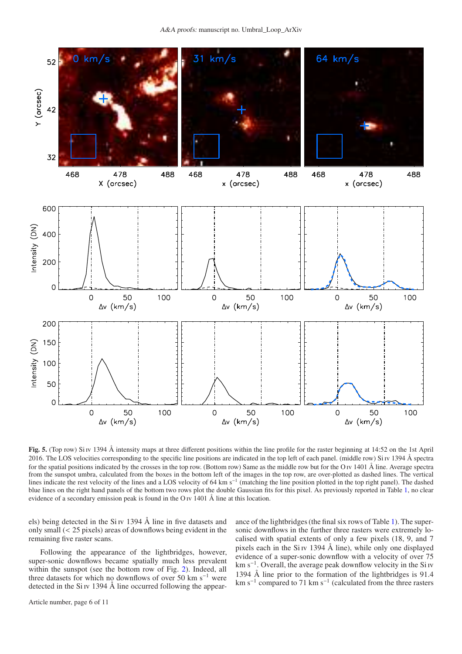

<span id="page-5-0"></span>Fig. 5. (Top row) Si iv 1394 Å intensity maps at three different positions within the line profile for the raster beginning at 14:52 on the 1st April 2016. The LOS velocities corresponding to the specific line positions are indicated in the top left of each panel. (middle row) Si Iv 1394 Å spectra for the spatial positions indicated by the crosses in the top row. (Bottom row) Same as the middle row but for the O iv 1401 Å line. Average spectra from the sunspot umbra, calculated from the boxes in the bottom left of the images in the top row, are over-plotted as dashed lines. The vertical lines indicate the rest velocity of the lines and a LOS velocity of 64 km s<sup>−1</sup> (matching the line position plotted in the top right panel). The dashed blue lines on the right hand panels of the bottom two rows plot the double Gaussian fits for this pixel. As previously reported in Table [1,](#page-4-0) no clear evidence of a secondary emission peak is found in the O iv 1401 Å line at this location.

els) being detected in the Si iv 1394 Å line in five datasets and only small (< 25 pixels) areas of downflows being evident in the remaining five raster scans.

Following the appearance of the lightbridges, however, super-sonic downflows became spatially much less prevalent within the sunspot (see the bottom row of Fig. [2\)](#page-2-1). Indeed, all three datasets for which no downflows of over 50 km s<sup>−</sup><sup>1</sup> were detected in the Si iv 1394 Å line occurred following the appearance of the lightbridges (the final six rows of Table [1\)](#page-4-0). The supersonic downflows in the further three rasters were extremely localised with spatial extents of only a few pixels (18, 9, and 7 pixels each in the Si Iv 1394 Å line), while only one displayed evidence of a super-sonic downflow with a velocity of over 75 km s<sup>−</sup><sup>1</sup> . Overall, the average peak downflow velocity in the Si iv 1394 Å line prior to the formation of the lightbridges is 91.4 km s<sup>−</sup><sup>1</sup> compared to 71 km s<sup>−</sup><sup>1</sup> (calculated from the three rasters

Article number, page 6 of 11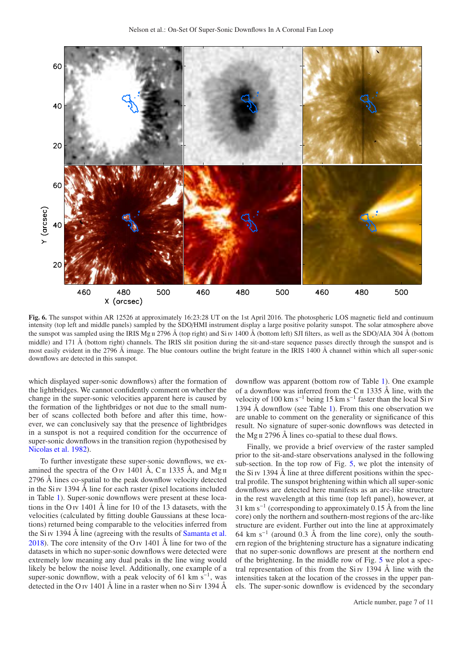

<span id="page-6-0"></span>Fig. 6. The sunspot within AR 12526 at approximately 16:23:28 UT on the 1st April 2016. The photospheric LOS magnetic field and continuum intensity (top left and middle panels) sampled by the SDO/HMI instrument display a large positive polarity sunspot. The solar atmosphere above the sunspot was sampled using the IRIS Mg  $\pi$  2796 Å (top right) and Si iv 1400 Å (bottom left) SJI filters, as well as the SDO/AIA 304 Å (bottom middle) and 171 Å (bottom right) channels. The IRIS slit position during the sit-and-stare sequence passes directly through the sunspot and is most easily evident in the 2796 Å image. The blue contours outline the bright feature in the IRIS 1400 Å channel within which all super-sonic downflows are detected in this sunspot.

which displayed super-sonic downflows) after the formation of the lightbridges. We cannot confidently comment on whether the change in the super-sonic velocities apparent here is caused by the formation of the lightbridges or not due to the small number of scans collected both before and after this time, however, we can conclusively say that the presence of lightbridges in a sunspot is not a required condition for the occurrence of super-sonic downflows in the transition region (hypothesised by [Nicolas et al. 1982\)](#page-10-19).

To further investigate these super-sonic downflows, we examined the spectra of the O iv 1401 Å, C  $\pi$  1335 Å, and Mg  $\pi$ 2796 Å lines co-spatial to the peak downflow velocity detected in the Si IV 1394  $\AA$  line for each raster (pixel locations included in Table [1\)](#page-4-0). Super-sonic downflows were present at these locations in the O iv 1401 Å line for 10 of the 13 datasets, with the velocities (calculated by fitting double Gaussians at these locations) returned being comparable to the velocities inferred from the Si iv 1394 Å line (agreeing with the results of [Samanta et al.](#page-10-22) [2018\)](#page-10-22). The core intensity of the O iv 1401 Å line for two of the datasets in which no super-sonic downflows were detected were extremely low meaning any dual peaks in the line wing would likely be below the noise level. Additionally, one example of a super-sonic downflow, with a peak velocity of 61 km  $s^{-1}$ , was detected in the O iv 1401 Å line in a raster when no Si iv 1394 Å

downflow was apparent (bottom row of Table [1\)](#page-4-0). One example of a downflow was inferred from the C $\parallel$  1335 Å line, with the velocity of 100 km s<sup>-1</sup> being 15 km s<sup>-1</sup> faster than the local Si <sub>IV</sub> 1394 Å downflow (see Table [1\)](#page-4-0). From this one observation we are unable to comment on the generality or significance of this result. No signature of super-sonic downflows was detected in the Mg ii 2796 Å lines co-spatial to these dual flows.

Finally, we provide a brief overview of the raster sampled prior to the sit-and-stare observations analysed in the following sub-section. In the top row of Fig. [5,](#page-5-0) we plot the intensity of the  $Si$  iv 1394 Å line at three different positions within the spectral profile. The sunspot brightening within which all super-sonic downflows are detected here manifests as an arc-like structure in the rest wavelength at this time (top left panel), however, at 31 km s<sup>-1</sup> (corresponding to approximately 0.15 Å from the line core) only the northern and southern-most regions of the arc-like structure are evident. Further out into the line at approximately 64 km s−<sup>1</sup> (around 0.3 Å from the line core), only the southern region of the brightening structure has a signature indicating that no super-sonic downflows are present at the northern end of the brightening. In the middle row of Fig. [5](#page-5-0) we plot a spectral representation of this from the  $Si$  iv 1394 Å line with the intensities taken at the location of the crosses in the upper panels. The super-sonic downflow is evidenced by the secondary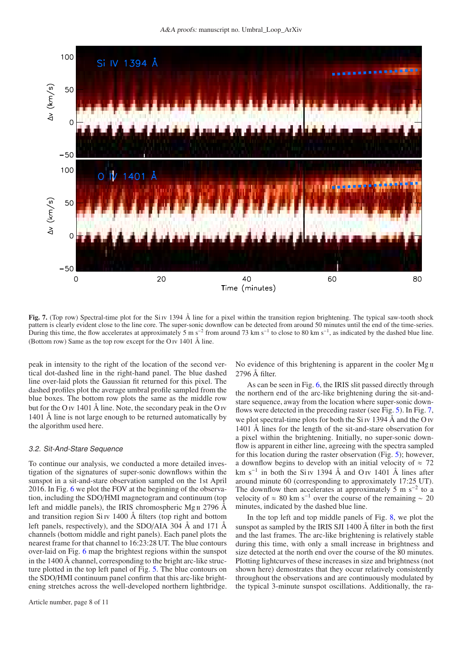

<span id="page-7-0"></span>Fig. 7. (Top row) Spectral-time plot for the Si v 1394 Å line for a pixel within the transition region brightening. The typical saw-tooth shock pattern is clearly evident close to the line core. The super-sonic downflow can be detected from around 50 minutes until the end of the time-series. During this time, the flow accelerates at approximately 5 m s<sup>-2</sup> from around 73 km s<sup>-1</sup> to close to 80 km s<sup>-1</sup>, as indicated by the dashed blue line. (Bottom row) Same as the top row except for the O iv 1401 Å line.

peak in intensity to the right of the location of the second vertical dot-dashed line in the right-hand panel. The blue dashed line over-laid plots the Gaussian fit returned for this pixel. The dashed profiles plot the average umbral profile sampled from the blue boxes. The bottom row plots the same as the middle row but for the O iv 1401 Å line. Note, the secondary peak in the O iv 1401 Å line is not large enough to be returned automatically by the algorithm used here.

#### 3.2. Sit-And-Stare Sequence

To continue our analysis, we conducted a more detailed investigation of the signatures of super-sonic downflows within the sunspot in a sit-and-stare observation sampled on the 1st April 2016. In Fig. [6](#page-6-0) we plot the FOV at the beginning of the observation, including the SDO/HMI magnetogram and continuum (top left and middle panels), the IRIS chromospheric Mg  $\mu$  2796 Å and transition region Si iv 1400 Å filters (top right and bottom left panels, respectively), and the SDO/AIA 304 Å and 171 Å channels (bottom middle and right panels). Each panel plots the nearest frame for that channel to 16:23:28 UT. The blue contours over-laid on Fig. [6](#page-6-0) map the brightest regions within the sunspot in the 1400 Å channel, corresponding to the bright arc-like structure plotted in the top left panel of Fig. [5.](#page-5-0) The blue contours on the SDO/HMI continuum panel confirm that this arc-like brightening stretches across the well-developed northern lightbridge. No evidence of this brightening is apparent in the cooler Mg II 2796 Å filter.

As can be seen in Fig. [6,](#page-6-0) the IRIS slit passed directly through the northern end of the arc-like brightening during the sit-andstare sequence, away from the location where super-sonic downflows were detected in the preceding raster (see Fig. [5\)](#page-5-0). In Fig. [7,](#page-7-0) we plot spectral-time plots for both the Si  $\overline{v}$  1394 Å and the O  $\overline{v}$ 1401 Å lines for the length of the sit-and-stare observation for a pixel within the brightening. Initially, no super-sonic downflow is apparent in either line, agreeing with the spectra sampled for this location during the raster observation (Fig. [5\)](#page-5-0); however, a downflow begins to develop with an initial velocity of  $\approx$  72 km s<sup>-1</sup> in both the Si iv 1394 Å and O iv 1401 Å lines after around minute 60 (corresponding to approximately 17:25 UT). The downflow then accelerates at approximately 5 m  $s^{-2}$  to a velocity of  $\approx 80$  km s<sup>-1</sup> over the course of the remaining  $\sim 20$ minutes, indicated by the dashed blue line.

In the top left and top middle panels of Fig. [8,](#page-8-1) we plot the sunspot as sampled by the IRIS SJI 1400 Å filter in both the first and the last frames. The arc-like brightening is relatively stable during this time, with only a small increase in brightness and size detected at the north end over the course of the 80 minutes. Plotting lightcurves of these increases in size and brightness (not shown here) demostrates that they occur relatively consistently throughout the observations and are continuously modulated by the typical 3-minute sunspot oscillations. Additionally, the ra-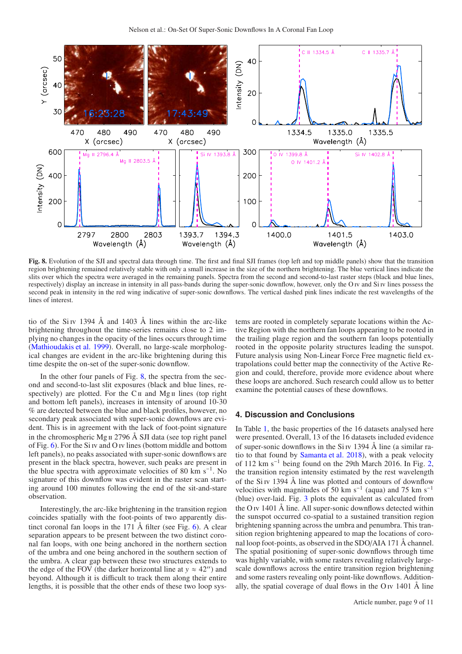

<span id="page-8-1"></span>Fig. 8. Evolution of the SJI and spectral data through time. The first and final SJI frames (top left and top middle panels) show that the transition region brightening remained relatively stable with only a small increase in the size of the northern brightening. The blue vertical lines indicate the slits over which the spectra were averaged in the remaining panels. Spectra from the second and second-to-last raster steps (black and blue lines, respectively) display an increase in intensity in all pass-bands during the super-sonic downflow, however, only the O iv and Si iv lines possess the second peak in intensity in the red wing indicative of super-sonic downflows. The vertical dashed pink lines indicate the rest wavelengths of the lines of interest.

tio of the Si Iv 1394 Å and 1403 Å lines within the arc-like brightening throughout the time-series remains close to 2 implying no changes in the opacity of the lines occurs through time [\(Mathioudakis et al. 1999](#page-10-30)). Overall, no large-scale morphological changes are evident in the arc-like brightening during this time despite the on-set of the super-sonic downflow.

In the other four panels of Fig.  $8$ , the spectra from the second and second-to-last slit exposures (black and blue lines, respectively) are plotted. For the  $C_{II}$  and  $Mg_{II}$  lines (top right and bottom left panels), increases in intensity of around 10-30 % are detected between the blue and black profiles, however, no secondary peak associated with super-sonic downflows are evident. This is in agreement with the lack of foot-point signature in the chromospheric Mg  $\text{II}$  2796 Å SJI data (see top right panel of Fig. [6\)](#page-6-0). For the Si iv and O iv lines (bottom middle and bottom left panels), no peaks associated with super-sonic downflows are present in the black spectra, however, such peaks are present in the blue spectra with approximate velocities of 80 km s−<sup>1</sup> . No signature of this downflow was evident in the raster scan starting around 100 minutes following the end of the sit-and-stare observation.

Interestingly, the arc-like brightening in the transition region coincides spatially with the foot-points of two apparently distinct coronal fan loops in the 171  $\AA$  filter (see Fig. [6\)](#page-6-0). A clear separation appears to be present between the two distinct coronal fan loops, with one being anchored in the northern section of the umbra and one being anchored in the southern section of the umbra. A clear gap between these two structures extends to the edge of the FOV (the darker horizontal line at  $y \approx 42''$ ) and beyond. Although it is difficult to track them along their entire lengths, it is possible that the other ends of these two loop systems are rooted in completely separate locations within the Active Region with the northern fan loops appearing to be rooted in the trailing plage region and the southern fan loops potentially rooted in the opposite polarity structures leading the sunspot. Future analysis using Non-Linear Force Free magnetic field extrapolations could better map the connectivity of the Active Region and could, therefore, provide more evidence about where these loops are anchored. Such research could allow us to better examine the potential causes of these downflows.

## <span id="page-8-0"></span>**4. Discussion and Conclusions**

In Table [1,](#page-4-0) the basic properties of the 16 datasets analysed here were presented. Overall, 13 of the 16 datasets included evidence of super-sonic downflows in the  $Si$  iv 1394 Å line (a similar ratio to that found by [Samanta et al. 2018](#page-10-22)), with a peak velocity of 112 km s<sup>-1</sup> being found on the 29th March 2016. In Fig. [2,](#page-2-1) the transition region intensity estimated by the rest wavelength of the  $Si\$  iv 1394 Å line was plotted and contours of downflow velocities with magnitudes of 50 km s<sup>-1</sup> (aqua) and 75 km s<sup>-1</sup> (blue) over-laid. Fig. [3](#page-3-0) plots the equivalent as calculated from the O iv  $1401 \text{ Å}$  line. All super-sonic downflows detected within the sunspot occurred co-spatial to a sustained transition region brightening spanning across the umbra and penumbra. This transition region brightening appeared to map the locations of coronal loop foot-points, as observed in the SDO/AIA 171 Å channel. The spatial positioning of super-sonic downflows through time was highly variable, with some rasters revealing relatively largescale downflows across the entire transition region brightening and some rasters revealing only point-like downflows. Additionally, the spatial coverage of dual flows in the O iv  $1401 \text{ Å}$  line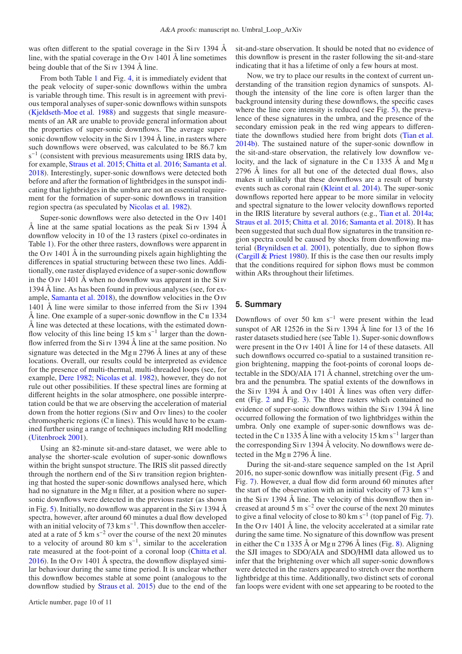was often different to the spatial coverage in the Si IV 1394  $\AA$ line, with the spatial coverage in the O iv 1401 Å line sometimes being double that of the Si iv 1394 Å line.

From both Table [1](#page-4-0) and Fig. [4,](#page-4-1) it is immediately evident that the peak velocity of super-sonic downflows within the umbra is variable through time. This result is in agreement with previous temporal analyses of super-sonic downflows within sunspots [\(Kjeldseth-Moe et al. 1988\)](#page-10-20) and suggests that single measurements of an AR are unable to provide general information about the properties of super-sonic downflows. The average supersonic downflow velocity in the Si iv 1394 Å line, in rasters where such downflows were observed, was calculated to be 86.7 km  $s^{-1}$  (consistent with previous measurements using IRIS data by, for example, [Straus et al. 2015;](#page-10-25) [Chitta et al. 2016;](#page-10-26) [Samanta et al.](#page-10-22) [2018\)](#page-10-22). Interestingly, super-sonic downflows were detected both before and after the formation of lightbridges in the sunspot indicating that lightbridges in the umbra are not an essential requirement for the formation of super-sonic downflows in transition region spectra (as speculated by [Nicolas et al. 1982](#page-10-19)).

Super-sonic downflows were also detected in the O<sub>IV</sub> 1401 Å line at the same spatial locations as the peak Si IV 1394 Å downflow velocity in 10 of the 13 rasters (pixel co-ordinates in Table [1\)](#page-4-0). For the other three rasters, downflows were apparent in the O iv 1401  $\AA$  in the surrounding pixels again highlighting the differences in spatial structuring between these two lines. Additionally, one raster displayed evidence of a super-sonic downflow in the O iv 1401 Å when no downflow was apparent in the Si iv 1394 Å line. As has been found in previous analyses (see, for example, [Samanta et al. 2018\)](#page-10-22), the downflow velocities in the O iv 1401 Å line were similar to those inferred from the Si iv 1394 Å line. One example of a super-sonic downflow in the  $C_{II}$  1334 Å line was detected at these locations, with the estimated downflow velocity of this line being 15 km s<sup>-1</sup> larger than the downflow inferred from the Si Iv 1394 Å line at the same position. No signature was detected in the Mg  $\pi$  2796 Å lines at any of these locations. Overall, our results could be interpreted as evidence for the presence of multi-thermal, multi-threaded loops (see, for example, [Dere 1982](#page-10-9); [Nicolas et al. 1982\)](#page-10-19), however, they do not rule out other possibilities. If these spectral lines are forming at different heights in the solar atmosphere, one possible interpretation could be that we are observing the acceleration of material down from the hotter regions (Si  $Iv$  and O  $Iv$  lines) to the cooler chromospheric regions  $(C<sub>II</sub>$  lines). This would have to be examined further using a range of techniques including RH modelling [\(Uitenbroek 2001\)](#page-10-31).

Using an 82-minute sit-and-stare dataset, we were able to analyse the shorter-scale evolution of super-sonic downflows within the bright sunspot structure. The IRIS slit passed directly through the northern end of the Si iv transition region brightening that hosted the super-sonic downflows analysed here, which had no signature in the Mg II filter, at a position where no supersonic downflows were detected in the previous raster (as shown in Fig. [5\)](#page-5-0). Initially, no downflow was apparent in the Si Iv 1394  $\AA$ spectra, however, after around 60 minutes a dual flow developed with an initial velocity of  $73 \text{ km s}^{-1}$ . This downflow then accelerated at a rate of 5 km s−<sup>2</sup> over the course of the next 20 minutes to a velocity of around 80 km s−<sup>1</sup> , similar to the acceleration rate measured at the foot-point of a coronal loop [\(Chitta et al.](#page-10-26) [2016\)](#page-10-26). In the O iv 1401 Å spectra, the downflow displayed similar behaviour during the same time period. It is unclear whether this downflow becomes stable at some point (analogous to the downflow studied by [Straus et al. 2015\)](#page-10-25) due to the end of the sit-and-stare observation. It should be noted that no evidence of this downflow is present in the raster following the sit-and-stare indicating that it has a lifetime of only a few hours at most.

Now, we try to place our results in the context of current understanding of the transition region dynamics of sunspots. Although the intensity of the line core is often larger than the background intensity during these downflows, the specific cases where the line core intensity is reduced (see Fig. [5\)](#page-5-0), the prevalence of these signatures in the umbra, and the presence of the secondary emission peak in the red wing appears to differentiate the downflows studied here from bright dots [\(Tian et al.](#page-10-32) [2014b\)](#page-10-32). The sustained nature of the super-sonic downflow in the sit-and-stare observation, the relatively low downflow velocity, and the lack of signature in the C $\pi$  1335 Å and Mg $\pi$ 2796 Å lines for all but one of the detected dual flows, also makes it unlikely that these downflows are a result of bursty events such as coronal rain [\(Kleint et al. 2014](#page-10-12)). The super-sonic downflows reported here appear to be more similar in velocity and spectral signature to the lower velocity downflows reported in the IRIS literature by several authors (e.g., [Tian et al. 2014a;](#page-10-21) [Straus et al. 2015](#page-10-25); [Chitta et al. 2016;](#page-10-26) [Samanta et al. 2018\)](#page-10-22). It has been suggested that such dual flow signatures in the transition region spectra could be caused by shocks from downflowing material [\(Brynildsen et al. 2001\)](#page-10-10), potentially, due to siphon flows [\(Cargill & Priest 1980](#page-10-33)). If this is the case then our results imply that the conditions required for siphon flows must be common within ARs throughout their lifetimes.

#### <span id="page-9-0"></span>**5. Summary**

Downflows of over 50 km  $s^{-1}$  were present within the lead sunspot of AR 12526 in the Si Iv 1394  $\AA$  line for 13 of the 16 raster datasets studied here (see Table [1\)](#page-4-0). Super-sonic downflows were present in the O iv 1401  $\AA$  line for 14 of these datasets. All such downflows occurred co-spatial to a sustained transition region brightening, mapping the foot-points of coronal loops detectable in the SDO/AIA 171 Å channel, stretching over the umbra and the penumbra. The spatial extents of the downflows in the Si iv 1394  $\AA$  and O iv 1401  $\AA$  lines was often very different (Fig. [2](#page-2-1) and Fig. [3\)](#page-3-0). The three rasters which contained no evidence of super-sonic downflows within the Si iv 1394 Å line occurred following the formation of two lightbridges within the umbra. Only one example of super-sonic downflows was detected in the C<sub>II</sub> 1335 Å line with a velocity 15 km s<sup>-1</sup> larger than the corresponding Si iv 1394 Å velocity. No downflows were detected in the Mg ii 2796 Å line.

During the sit-and-stare sequence sampled on the 1st April 2016, no super-sonic downflow was initially present (Fig. [5](#page-5-0) and Fig. [7\)](#page-7-0). However, a dual flow did form around 60 minutes after the start of the observation with an initial velocity of  $73 \text{ km s}^{-1}$ in the Si IV 1394  $\AA$  line. The velocity of this downflow then increased at around 5 m s−<sup>2</sup> over the course of the next 20 minutes to give a final velocity of close to 80 km s<sup>-1</sup> (top panel of Fig. [7\)](#page-7-0). In the O iv  $1401 \text{ Å}$  line, the velocity accelerated at a similar rate during the same time. No signature of this downflow was present in either the C<sub>II</sub> 1335 Å or Mg II 2796 Å lines (Fig. [8\)](#page-8-1). Aligning the SJI images to SDO/AIA and SDO/HMI data allowed us to infer that the brightening over which all super-sonic downflows were detected in the rasters appeared to stretch over the northern lightbridge at this time. Additionally, two distinct sets of coronal fan loops were evident with one set appearing to be rooted to the